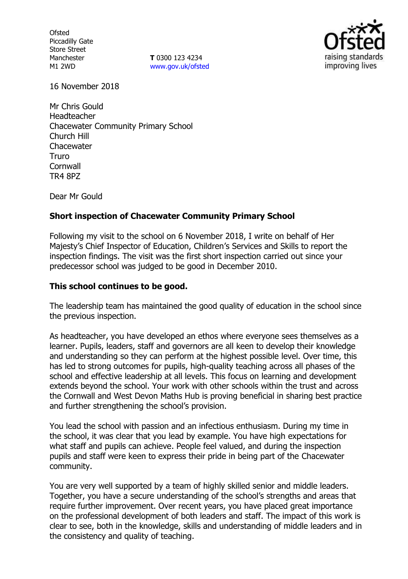**Ofsted** Piccadilly Gate Store Street Manchester M1 2WD

**T** 0300 123 4234 www.gov.uk/ofsted



16 November 2018

Mr Chris Gould Headteacher Chacewater Community Primary School Church Hill **Chacewater** Truro **Cornwall** TR4 8PZ

Dear Mr Gould

# **Short inspection of Chacewater Community Primary School**

Following my visit to the school on 6 November 2018, I write on behalf of Her Majesty's Chief Inspector of Education, Children's Services and Skills to report the inspection findings. The visit was the first short inspection carried out since your predecessor school was judged to be good in December 2010.

## **This school continues to be good.**

The leadership team has maintained the good quality of education in the school since the previous inspection.

As headteacher, you have developed an ethos where everyone sees themselves as a learner. Pupils, leaders, staff and governors are all keen to develop their knowledge and understanding so they can perform at the highest possible level. Over time, this has led to strong outcomes for pupils, high-quality teaching across all phases of the school and effective leadership at all levels. This focus on learning and development extends beyond the school. Your work with other schools within the trust and across the Cornwall and West Devon Maths Hub is proving beneficial in sharing best practice and further strengthening the school's provision.

You lead the school with passion and an infectious enthusiasm. During my time in the school, it was clear that you lead by example. You have high expectations for what staff and pupils can achieve. People feel valued, and during the inspection pupils and staff were keen to express their pride in being part of the Chacewater community.

You are very well supported by a team of highly skilled senior and middle leaders. Together, you have a secure understanding of the school's strengths and areas that require further improvement. Over recent years, you have placed great importance on the professional development of both leaders and staff. The impact of this work is clear to see, both in the knowledge, skills and understanding of middle leaders and in the consistency and quality of teaching.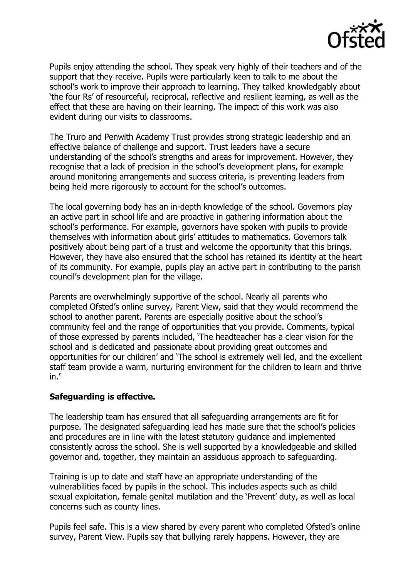

Pupils enjoy attending the school. They speak very highly of their teachers and of the support that they receive. Pupils were particularly keen to talk to me about the school's work to improve their approach to learning. They talked knowledgably about 'the four Rs' of resourceful, reciprocal, reflective and resilient learning, as well as the effect that these are having on their learning. The impact of this work was also evident during our visits to classrooms.

The Truro and Penwith Academy Trust provides strong strategic leadership and an effective balance of challenge and support. Trust leaders have a secure understanding of the school's strengths and areas for improvement. However, they recognise that a lack of precision in the school's development plans, for example around monitoring arrangements and success criteria, is preventing leaders from being held more rigorously to account for the school's outcomes.

The local governing body has an in-depth knowledge of the school. Governors play an active part in school life and are proactive in gathering information about the school's performance. For example, governors have spoken with pupils to provide themselves with information about girls' attitudes to mathematics. Governors talk positively about being part of a trust and welcome the opportunity that this brings. However, they have also ensured that the school has retained its identity at the heart of its community. For example, pupils play an active part in contributing to the parish council's development plan for the village.

Parents are overwhelmingly supportive of the school. Nearly all parents who completed Ofsted's online survey, Parent View, said that they would recommend the school to another parent. Parents are especially positive about the school's community feel and the range of opportunities that you provide. Comments, typical of those expressed by parents included, 'The headteacher has a clear vision for the school and is dedicated and passionate about providing great outcomes and opportunities for our children' and 'The school is extremely well led, and the excellent staff team provide a warm, nurturing environment for the children to learn and thrive in.'

# **Safeguarding is effective.**

The leadership team has ensured that all safeguarding arrangements are fit for purpose. The designated safeguarding lead has made sure that the school's policies and procedures are in line with the latest statutory guidance and implemented consistently across the school. She is well supported by a knowledgeable and skilled governor and, together, they maintain an assiduous approach to safeguarding.

Training is up to date and staff have an appropriate understanding of the vulnerabilities faced by pupils in the school. This includes aspects such as child sexual exploitation, female genital mutilation and the 'Prevent' duty, as well as local concerns such as county lines.

Pupils feel safe. This is a view shared by every parent who completed Ofsted's online survey, Parent View. Pupils say that bullying rarely happens. However, they are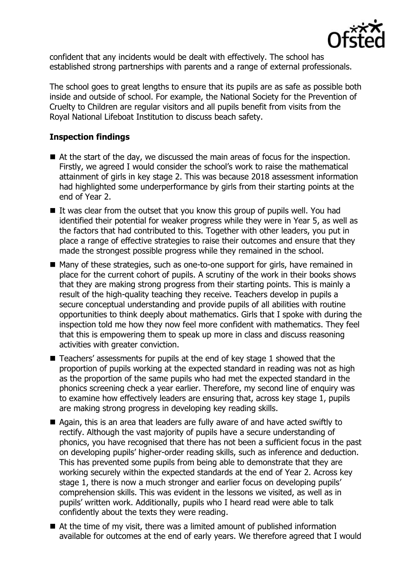

confident that any incidents would be dealt with effectively. The school has established strong partnerships with parents and a range of external professionals.

The school goes to great lengths to ensure that its pupils are as safe as possible both inside and outside of school. For example, the National Society for the Prevention of Cruelty to Children are regular visitors and all pupils benefit from visits from the Royal National Lifeboat Institution to discuss beach safety.

# **Inspection findings**

- At the start of the day, we discussed the main areas of focus for the inspection. Firstly, we agreed I would consider the school's work to raise the mathematical attainment of girls in key stage 2. This was because 2018 assessment information had highlighted some underperformance by girls from their starting points at the end of Year 2.
- $\blacksquare$  It was clear from the outset that you know this group of pupils well. You had identified their potential for weaker progress while they were in Year 5, as well as the factors that had contributed to this. Together with other leaders, you put in place a range of effective strategies to raise their outcomes and ensure that they made the strongest possible progress while they remained in the school.
- Many of these strategies, such as one-to-one support for girls, have remained in place for the current cohort of pupils. A scrutiny of the work in their books shows that they are making strong progress from their starting points. This is mainly a result of the high-quality teaching they receive. Teachers develop in pupils a secure conceptual understanding and provide pupils of all abilities with routine opportunities to think deeply about mathematics. Girls that I spoke with during the inspection told me how they now feel more confident with mathematics. They feel that this is empowering them to speak up more in class and discuss reasoning activities with greater conviction.
- Teachers' assessments for pupils at the end of key stage 1 showed that the proportion of pupils working at the expected standard in reading was not as high as the proportion of the same pupils who had met the expected standard in the phonics screening check a year earlier. Therefore, my second line of enquiry was to examine how effectively leaders are ensuring that, across key stage 1, pupils are making strong progress in developing key reading skills.
- Again, this is an area that leaders are fully aware of and have acted swiftly to rectify. Although the vast majority of pupils have a secure understanding of phonics, you have recognised that there has not been a sufficient focus in the past on developing pupils' higher-order reading skills, such as inference and deduction. This has prevented some pupils from being able to demonstrate that they are working securely within the expected standards at the end of Year 2. Across key stage 1, there is now a much stronger and earlier focus on developing pupils' comprehension skills. This was evident in the lessons we visited, as well as in pupils' written work. Additionally, pupils who I heard read were able to talk confidently about the texts they were reading.
- At the time of my visit, there was a limited amount of published information available for outcomes at the end of early years. We therefore agreed that I would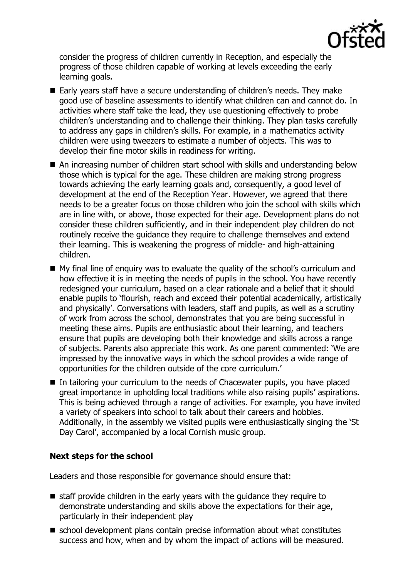

consider the progress of children currently in Reception, and especially the progress of those children capable of working at levels exceeding the early learning goals.

- Early years staff have a secure understanding of children's needs. They make good use of baseline assessments to identify what children can and cannot do. In activities where staff take the lead, they use questioning effectively to probe children's understanding and to challenge their thinking. They plan tasks carefully to address any gaps in children's skills. For example, in a mathematics activity children were using tweezers to estimate a number of objects. This was to develop their fine motor skills in readiness for writing.
- An increasing number of children start school with skills and understanding below those which is typical for the age. These children are making strong progress towards achieving the early learning goals and, consequently, a good level of development at the end of the Reception Year. However, we agreed that there needs to be a greater focus on those children who join the school with skills which are in line with, or above, those expected for their age. Development plans do not consider these children sufficiently, and in their independent play children do not routinely receive the guidance they require to challenge themselves and extend their learning. This is weakening the progress of middle- and high-attaining children.
- My final line of enquiry was to evaluate the quality of the school's curriculum and how effective it is in meeting the needs of pupils in the school. You have recently redesigned your curriculum, based on a clear rationale and a belief that it should enable pupils to 'flourish, reach and exceed their potential academically, artistically and physically'. Conversations with leaders, staff and pupils, as well as a scrutiny of work from across the school, demonstrates that you are being successful in meeting these aims. Pupils are enthusiastic about their learning, and teachers ensure that pupils are developing both their knowledge and skills across a range of subjects. Parents also appreciate this work. As one parent commented: 'We are impressed by the innovative ways in which the school provides a wide range of opportunities for the children outside of the core curriculum.'
- In tailoring your curriculum to the needs of Chacewater pupils, you have placed great importance in upholding local traditions while also raising pupils' aspirations. This is being achieved through a range of activities. For example, you have invited a variety of speakers into school to talk about their careers and hobbies. Additionally, in the assembly we visited pupils were enthusiastically singing the 'St Day Carol', accompanied by a local Cornish music group.

# **Next steps for the school**

Leaders and those responsible for governance should ensure that:

- $\blacksquare$  staff provide children in the early years with the guidance they require to demonstrate understanding and skills above the expectations for their age, particularly in their independent play
- school development plans contain precise information about what constitutes success and how, when and by whom the impact of actions will be measured.